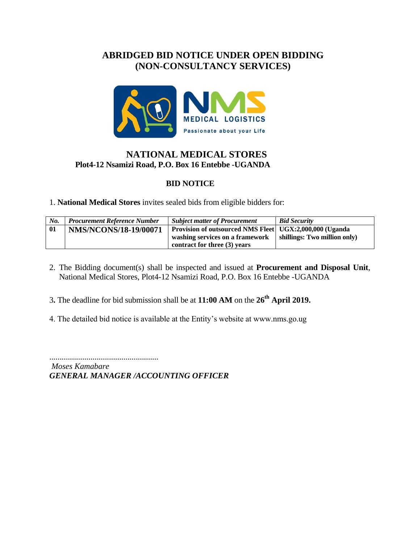# **ABRIDGED BID NOTICE UNDER OPEN BIDDING (NON-CONSULTANCY SERVICES)**



### **NATIONAL MEDICAL STORES Plot4-12 Nsamizi Road, P.O. Box 16 Entebbe -UGANDA**

#### **BID NOTICE**

1. **National Medical Stores** invites sealed bids from eligible bidders for:

| No. | <b>Procurement Reference Number</b> | <b>Subject matter of Procurement</b>                    | <b>Bid Security</b>          |
|-----|-------------------------------------|---------------------------------------------------------|------------------------------|
| 01  | <b>NMS/NCONS/18-19/00071</b>        | Provision of outsourced NMS Fleet UGX:2,000,000 (Uganda |                              |
|     |                                     | washing services on a framework                         | shillings: Two million only) |
|     |                                     | contract for three (3) years                            |                              |

- 2. The Bidding document(s) shall be inspected and issued at **Procurement and Disposal Unit**, National Medical Stores, Plot4-12 Nsamizi Road, P.O. Box 16 Entebbe -UGANDA
- 3**.** The deadline for bid submission shall be at **11:00 AM** on the **26th April 2019.**
- 4. The detailed bid notice is available at the Entity's website at www.nms.go.ug

.....................................................

*Moses Kamabare GENERAL MANAGER /ACCOUNTING OFFICER*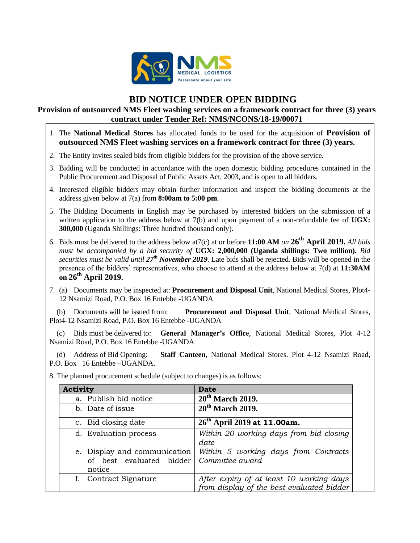

## **BID NOTICE UNDER OPEN BIDDING**

#### **Provision of outsourced NMS Fleet washing services on a framework contract for three (3) years contract under Tender Ref: NMS/NCONS/18-19/00071**

- 1. The **National Medical Stores** has allocated funds to be used for the acquisition of **Provision of outsourced NMS Fleet washing services on a framework contract for three (3) years.**
- 2. The Entity invites sealed bids from eligible bidders for the provision of the above service.
- 3. Bidding will be conducted in accordance with the open domestic bidding procedures contained in the Public Procurement and Disposal of Public Assets Act, 2003, and is open to all bidders.
- 4. Interested eligible bidders may obtain further information and inspect the bidding documents at the address given below at 7(a) from **8:00am to 5:00 pm**.
- 5. The Bidding Documents in English may be purchased by interested bidders on the submission of a written application to the address below at 7(b) and upon payment of a non-refundable fee of UGX: **300,000** (Uganda Shillings: Three hundred thousand only).
- 6. Bids must be delivered to the address below at7(c) at or before **11:00 AM** *on* **26th April 2019.** *All bids must be accompanied by a bid security of* **UGX: 2,000,000 (Uganda shillings: Two million).** *Bid securities must be valid until 27th November 2019.* Late bids shall be rejected. Bids will be opened in the presence of the bidders' representatives, who choose to attend at the address below at 7(d) at **11:30AM on 26th April 2019.**
- 7. (a) Documents may be inspected at: **Procurement and Disposal Unit**, National Medical Stores, Plot4- 12 Nsamizi Road, P.O. Box 16 Entebbe -UGANDA

 (b) Documents will be issued from: **Procurement and Disposal Unit**, National Medical Stores, Plot4-12 Nsamizi Road, P.O. Box 16 Entebbe -UGANDA

 (c) Bids must be delivered to: **General Manager's Office**, National Medical Stores, Plot 4-12 Nsamizi Road, P.O. Box 16 Entebbe -UGANDA

 (d) Address of Bid Opening: **Staff Canteen**, National Medical Stores. Plot 4-12 Nsamizi Road, P.O. Box 16 Entebbe –UGANDA.

| <b>Activity</b>                                                    | <b>Date</b>                                                                           |
|--------------------------------------------------------------------|---------------------------------------------------------------------------------------|
| a. Publish bid notice                                              | $20th$ March 2019.                                                                    |
| b. Date of issue                                                   | $20th$ March 2019.                                                                    |
| c. Bid closing date                                                | $26th$ April 2019 at 11.00am.                                                         |
| d. Evaluation process                                              | Within 20 working days from bid closing<br>date                                       |
| e. Display and communication<br>of best evaluated bidder<br>notice | Within 5 working days from Contracts<br>Committee award                               |
| f. Contract Signature                                              | After expiry of at least 10 working days<br>from display of the best evaluated bidder |

8. The planned procurement schedule (subject to changes) is as follows: